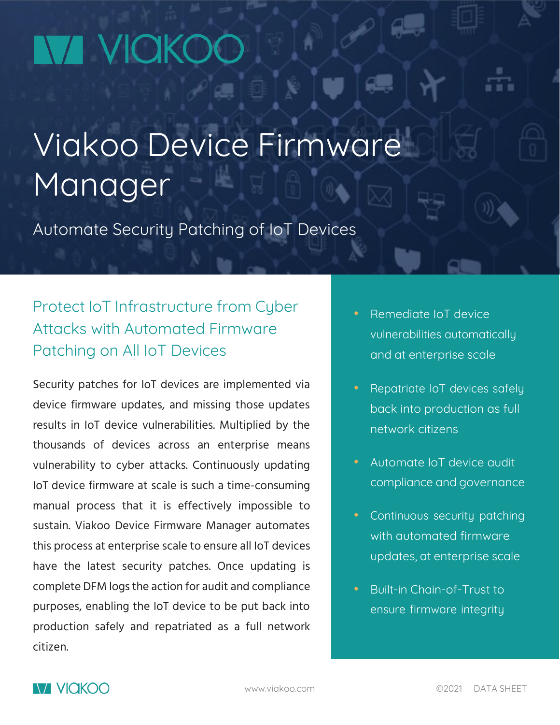# **NA VICKO**

## Viakoo Device Firmware Manager

Automate Security Patching of IoT Devices

## Protect IoT Infrastructure from Cyber Attacks with Automated Firmware Patching on All IoT Devices

Security patches for IoT devices are implemented via device firmware updates, and missing those updates results in IoT device vulnerabilities. Multiplied by the thousands of devices across an enterprise means vulnerability to cyber attacks. Continuously updating IoT device firmware at scale is such a time-consuming manual process that it is effectively impossible to sustain. Viakoo Device Firmware Manager automates this process at enterprise scale to ensure all IoT devices have the latest security patches. Once updating is complete DFM logs the action for audit and compliance purposes, enabling the IoT device to be put back into production safely and repatriated as a full network citizen.

- Remediate IoT device vulnerabilities automatically and at enterprise scale
- Repatriate IoT devices safely back into production as full network citizens
- Automate IoT device audit compliance and governance
- Continuous security patching with automated firmware updates, at enterprise scale
- Built-in Chain-of-Trust to ensure firmware integrity

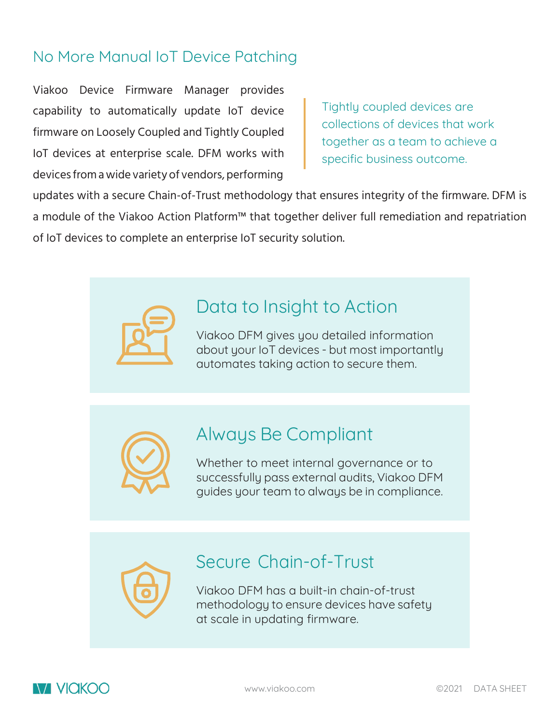### No More Manual IoT Device Patching

Viakoo Device Firmware Manager provides capability to automatically update IoT device firmware on Loosely Coupled and Tightly Coupled IoT devices at enterprise scale. DFM works with devices from awide varietyof vendors, performing

Tightly coupled devices are collections of devices that work together as a team to achieve a specific business outcome.

updates with a secure Chain-of-Trust methodology that ensures integrity of the firmware. DFM is a module of the Viakoo Action Platform™ that together deliver full remediation and repatriation of IoT devices to complete an enterprise IoT security solution.

## Data to Insight to Action

Viakoo DFM gives you detailed information about your IoT devices - but most importantly automates taking action to secure them.



## Always Be Compliant

Whether to meet internal governance or to successfully pass external audits, Viakoo DFM guides your team to always be in compliance.

Secure Chain-of-Trust

Viakoo DFM has a built-in chain-of-trust methodology to ensure devices have safety at scale in updating firmware.

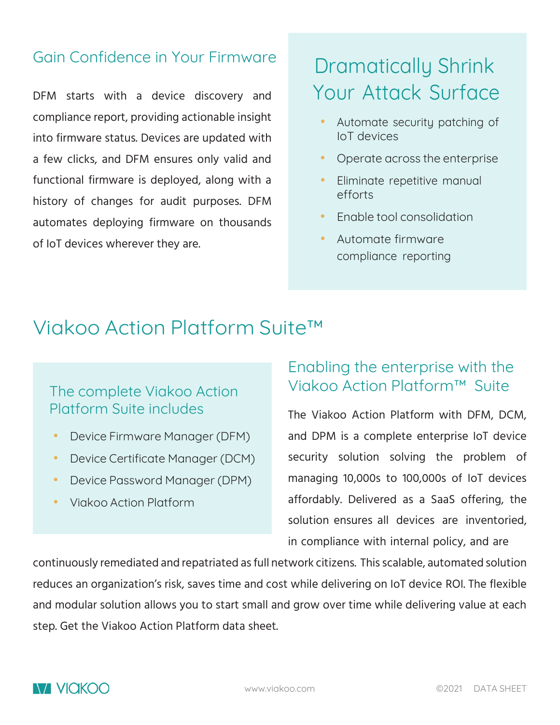#### Gain Confidence in Your Firmware

DFM starts with a device discovery and compliance report, providing actionable insight into firmware status. Devices are updated with a few clicks, and DFM ensures only valid and functional firmware is deployed, along with a history of changes for audit purposes. DFM automates deploying firmware on thousands of IoT devices wherever they are.

## Dramatically Shrink Your Attack Surface

- Automate security patching of IoT devices
- Operate across the enterprise
- Eliminate repetitive manual efforts
- Enable tool consolidation
- Automate firmware compliance reporting

## Viakoo Action Platform Suite™

#### The complete Viakoo Action Platform Suite includes

- Device Firmware Manager (DFM)
- Device Certificate Manager (DCM)
- Device Password Manager (DPM)
- Viakoo Action Platform

### Enabling the enterprise with the Viakoo Action Platform™ Suite

The Viakoo Action Platform with DFM, DCM, and DPM is a complete enterprise IoT device security solution solving the problem of managing 10,000s to 100,000s of IoT devices affordably. Delivered as a SaaS offering, the solution ensures all devices are inventoried, in compliance with internal policy, and are

continuously remediated and repatriated as full network citizens. This scalable, automated solution reduces an organization's risk, saves time and cost while delivering on IoT device ROI. The flexible and modular solution allows you to start small and grow over time while delivering value at each step. Get the Viakoo Action Platform data sheet.

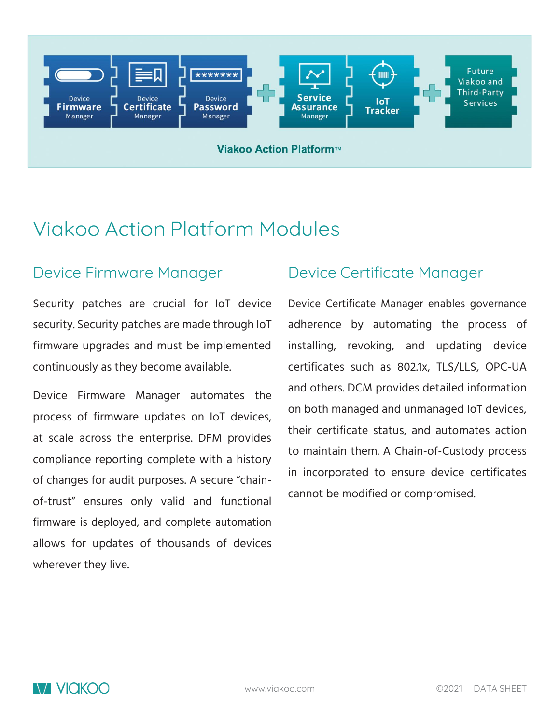

Viakoo Action Platform™

## Viakoo Action Platform Modules

#### Device Firmware Manager

Security patches are crucial for IoT device security. Security patches are made through IoT firmware upgrades and must be implemented continuously as they become available.

Device Firmware Manager automates the process of firmware updates on IoT devices, at scale across the enterprise. DFM provides compliance reporting complete with a history of changes for audit purposes. A secure "chainof-trust" ensures only valid and functional firmware is deployed, and complete automation allows for updates of thousands of devices wherever they live.

## Device Certificate Manager

Device Certificate Manager enables governance adherence by automating the process of installing, revoking, and updating device certificates such as 802.1x, TLS/LLS, OPC-UA and others. DCM provides detailed information on both managed and unmanaged IoT devices, their certificate status, and automates action to maintain them. A Chain-of-Custody process in incorporated to ensure device certificates cannot be modified or compromised.